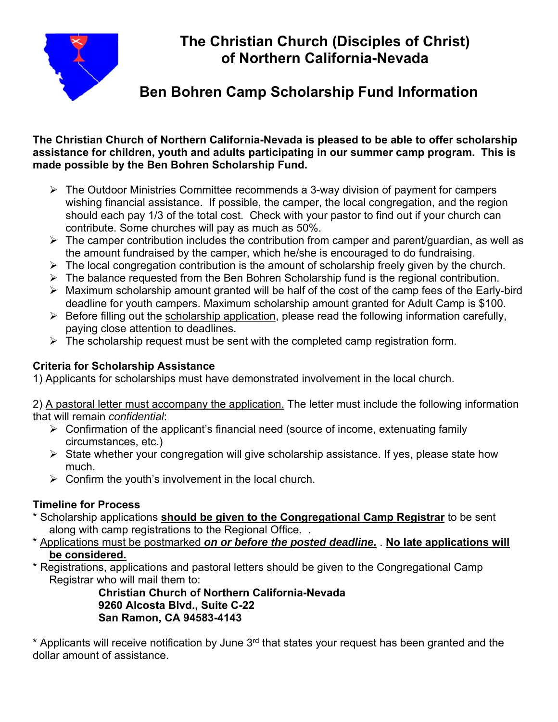

# **The Christian Church (Disciples of Christ) of Northern California-Nevada**

## **Ben Bohren Camp Scholarship Fund Information**

#### **The Christian Church of Northern California-Nevada is pleased to be able to offer scholarship assistance for children, youth and adults participating in our summer camp program. This is made possible by the Ben Bohren Scholarship Fund.**

- The Outdoor Ministries Committee recommends a 3-way division of payment for campers wishing financial assistance. If possible, the camper, the local congregation, and the region should each pay 1/3 of the total cost. Check with your pastor to find out if your church can contribute. Some churches will pay as much as 50%.
- $\triangleright$  The camper contribution includes the contribution from camper and parent/guardian, as well as the amount fundraised by the camper, which he/she is encouraged to do fundraising.
- $\triangleright$  The local congregation contribution is the amount of scholarship freely given by the church.
- $\triangleright$  The balance requested from the Ben Bohren Scholarship fund is the regional contribution.
- $\triangleright$  Maximum scholarship amount granted will be half of the cost of the camp fees of the Early-bird deadline for youth campers. Maximum scholarship amount granted for Adult Camp is \$100.
- $\triangleright$  Before filling out the scholarship application, please read the following information carefully, paying close attention to deadlines.
- $\triangleright$  The scholarship request must be sent with the completed camp registration form.

#### **Criteria for Scholarship Assistance**

1) Applicants for scholarships must have demonstrated involvement in the local church.

2) A pastoral letter must accompany the application. The letter must include the following information that will remain *confidential*:

- $\triangleright$  Confirmation of the applicant's financial need (source of income, extenuating family circumstances, etc.)
- $\triangleright$  State whether your congregation will give scholarship assistance. If yes, please state how much.
- $\triangleright$  Confirm the youth's involvement in the local church.

### **Timeline for Process**

- \* Scholarship applications **should be given to the Congregational Camp Registrar** to be sent along with camp registrations to the Regional Office. .
- \* Applications must be postmarked *on or before the posted deadline.* . **No late applications will be considered.**
- \* Registrations, applications and pastoral letters should be given to the Congregational Camp Registrar who will mail them to:

 **Christian Church of Northern California-Nevada 9260 Alcosta Blvd., Suite C-22 San Ramon, CA 94583-4143** 

 $*$  Applicants will receive notification by June  $3<sup>rd</sup>$  that states your request has been granted and the dollar amount of assistance.